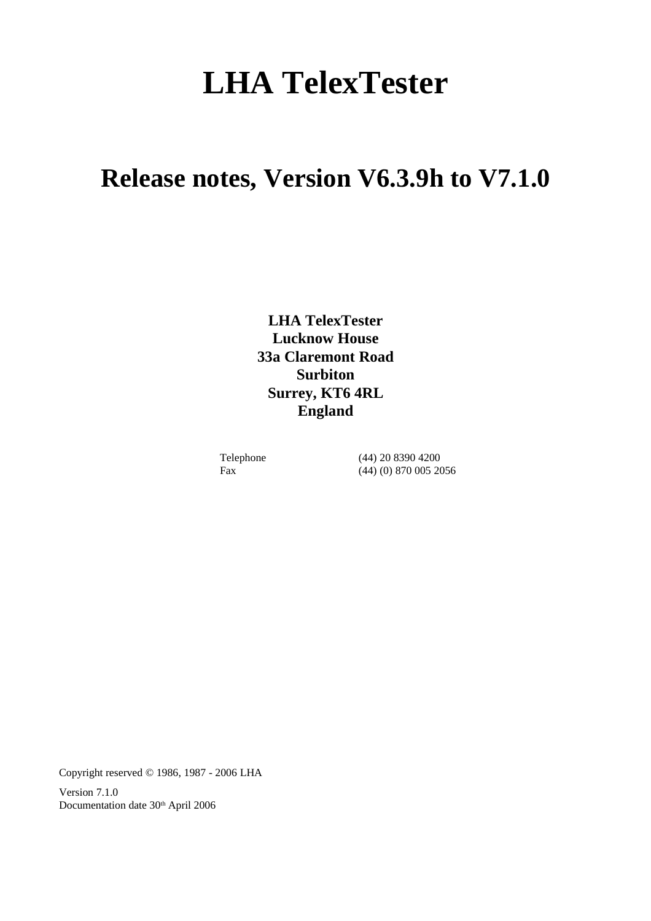# **LHA TelexTester**

# **Release notes, Version V6.3.9h to V7.1.0**

**LHA TelexTester Lucknow House 33a Claremont Road Surbiton Surrey, KT6 4RL England**

Telephone (44) 20 8390 4200 Fax (44) (0) 870 005 2056

Copyright reserved © 1986, 1987 - 2006 LHA

Version 7.1.0 Documentation date 30<sup>th</sup> April 2006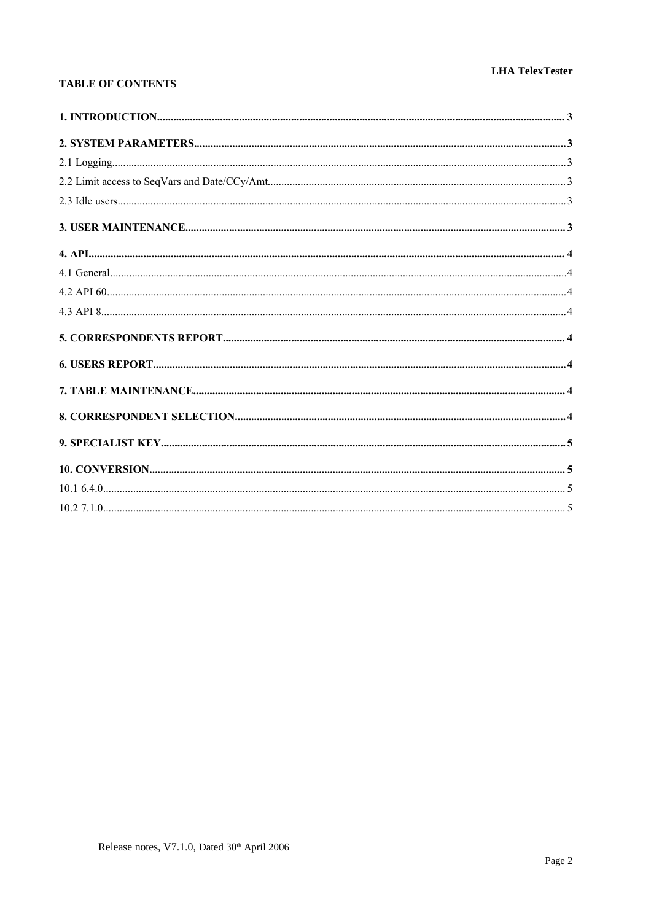#### **LHA TelexTester**

#### **TABLE OF CONTENTS**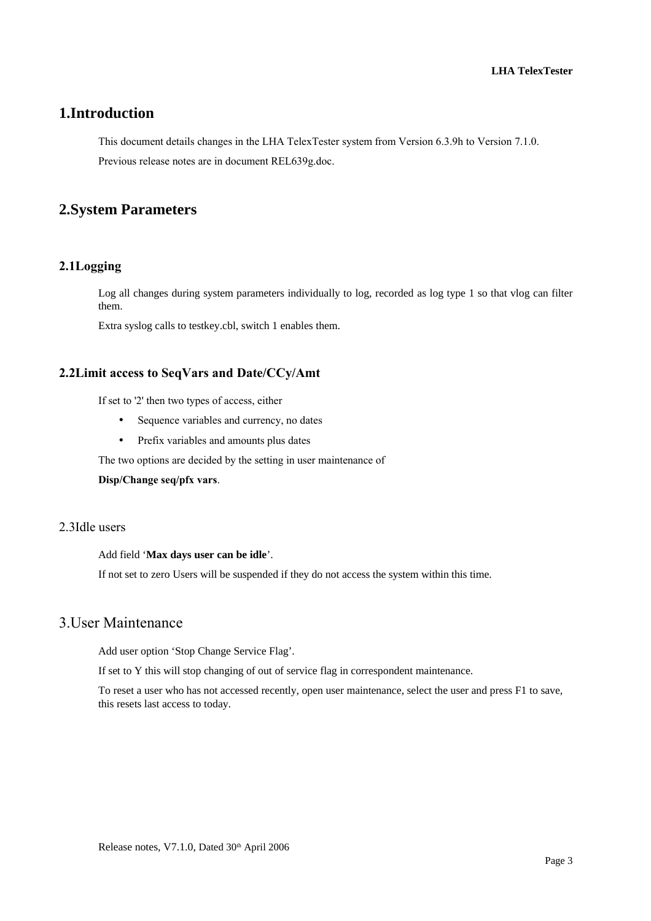# **1.Introduction**

This document details changes in the LHA TelexTester system from Version 6.3.9h to Version 7.1.0. Previous release notes are in document REL639g.doc.

# **2.System Parameters**

#### **2.1Logging**

Log all changes during system parameters individually to log, recorded as log type 1 so that vlog can filter them.

Extra syslog calls to testkey.cbl, switch 1 enables them.

#### **2.2Limit access to SeqVars and Date/CCy/Amt**

If set to '2' then two types of access, either

- Sequence variables and currency, no dates
- Prefix variables and amounts plus dates

The two options are decided by the setting in user maintenance of

**Disp/Change seq/pfx vars**.

#### 2.3Idle users

Add field '**Max days user can be idle**'.

If not set to zero Users will be suspended if they do not access the system within this time.

# 3.User Maintenance

Add user option 'Stop Change Service Flag'.

If set to Y this will stop changing of out of service flag in correspondent maintenance.

To reset a user who has not accessed recently, open user maintenance, select the user and press F1 to save, this resets last access to today.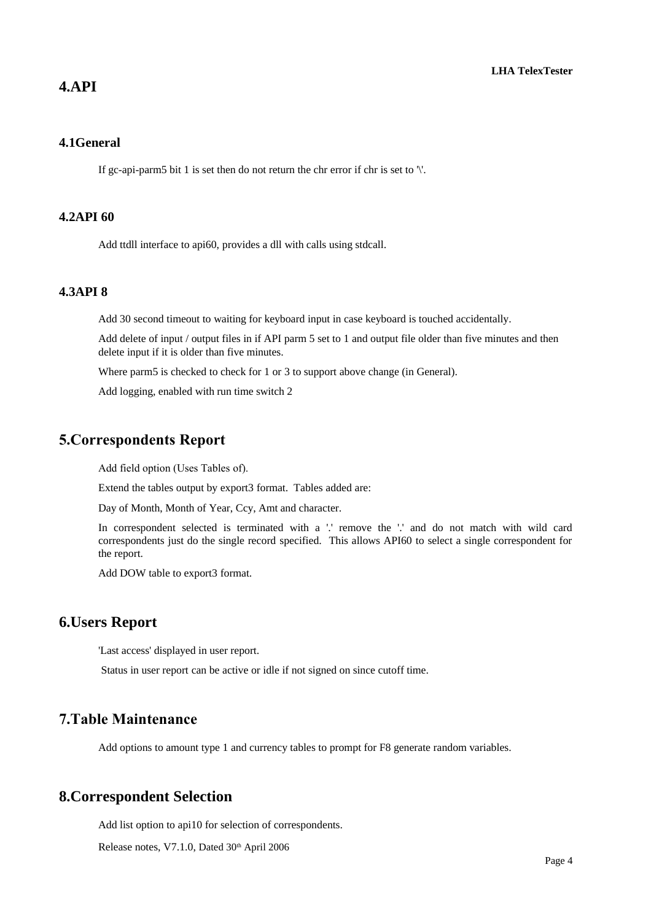#### **4.API**

#### **4.1General**

If gc-api-parm5 bit 1 is set then do not return the chr error if chr is set to  $\mathcal{N}$ .

#### **4.2API 60**

Add ttdll interface to api60, provides a dll with calls using stdcall.

#### **4.3API 8**

Add 30 second timeout to waiting for keyboard input in case keyboard is touched accidentally.

Add delete of input / output files in if API parm 5 set to 1 and output file older than five minutes and then delete input if it is older than five minutes.

Where parm5 is checked to check for 1 or 3 to support above change (in General).

Add logging, enabled with run time switch 2

# **5.Correspondents Report**

Add field option (Uses Tables of).

Extend the tables output by export3 format. Tables added are:

Day of Month, Month of Year, Ccy, Amt and character.

In correspondent selected is terminated with a '.' remove the '.' and do not match with wild card correspondents just do the single record specified. This allows API60 to select a single correspondent for the report.

Add DOW table to export3 format.

#### **6.Users Report**

'Last access' displayed in user report.

Status in user report can be active or idle if not signed on since cutoff time.

# **7.Table Maintenance**

Add options to amount type 1 and currency tables to prompt for F8 generate random variables.

#### **8.Correspondent Selection**

Add list option to api10 for selection of correspondents.

Release notes, V7.1.0, Dated 30<sup>th</sup> April 2006